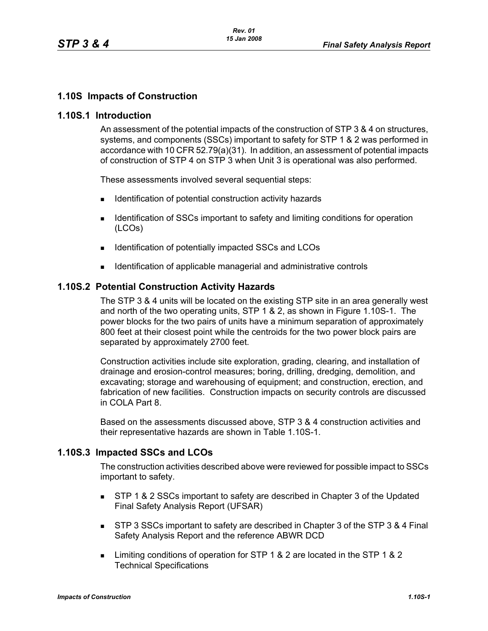## **1.10S Impacts of Construction**

### **1.10S.1 Introduction**

An assessment of the potential impacts of the construction of STP 3 & 4 on structures, systems, and components (SSCs) important to safety for STP 1 & 2 was performed in accordance with 10 CFR 52.79(a)(31). In addition, an assessment of potential impacts of construction of STP 4 on STP 3 when Unit 3 is operational was also performed.

These assessments involved several sequential steps:

- Identification of potential construction activity hazards
- **IDENTIFICATE:** Identification of SSCs important to safety and limiting conditions for operation (LCOs)
- Identification of potentially impacted SSCs and LCOs
- Identification of applicable managerial and administrative controls

### **1.10S.2 Potential Construction Activity Hazards**

The STP 3 & 4 units will be located on the existing STP site in an area generally west and north of the two operating units, STP 1 & 2, as shown in Figure [1.10S-1](#page-11-0). The power blocks for the two pairs of units have a minimum separation of approximately 800 feet at their closest point while the centroids for the two power block pairs are separated by approximately 2700 feet.

Construction activities include site exploration, grading, clearing, and installation of drainage and erosion-control measures; boring, drilling, dredging, demolition, and excavating; storage and warehousing of equipment; and construction, erection, and fabrication of new facilities. Construction impacts on security controls are discussed in COLA Part 8.

Based on the assessments discussed above, STP 3 & 4 construction activities and their representative hazards are shown in Table [1.10S-1.](#page-2-0)

### **1.10S.3 Impacted SSCs and LCOs**

The construction activities described above were reviewed for possible impact to SSCs important to safety.

- **STP 1 & 2 SSCs important to safety are described in Chapter 3 of the Updated** Final Safety Analysis Report (UFSAR)
- **STP 3 SSCs important to safety are described in Chapter 3 of the STP 3 & 4 Final** Safety Analysis Report and the reference ABWR DCD
- Limiting conditions of operation for STP 1 & 2 are located in the STP 1 & 2 Technical Specifications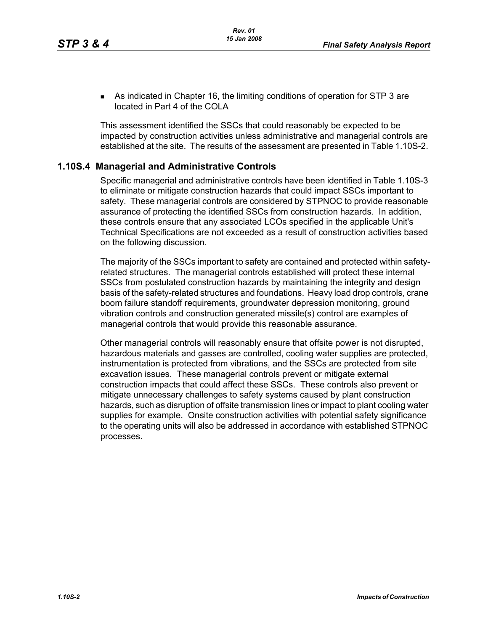As indicated in Chapter 16, the limiting conditions of operation for STP 3 are located in Part 4 of the COLA

This assessment identified the SSCs that could reasonably be expected to be impacted by construction activities unless administrative and managerial controls are established at the site. The results of the assessment are presented in Table [1.10S-2](#page-4-0).

### **1.10S.4 Managerial and Administrative Controls**

Specific managerial and administrative controls have been identified in Table [1.10S-3](#page-6-0) to eliminate or mitigate construction hazards that could impact SSCs important to safety. These managerial controls are considered by STPNOC to provide reasonable assurance of protecting the identified SSCs from construction hazards. In addition, these controls ensure that any associated LCOs specified in the applicable Unit's Technical Specifications are not exceeded as a result of construction activities based on the following discussion.

The majority of the SSCs important to safety are contained and protected within safetyrelated structures. The managerial controls established will protect these internal SSCs from postulated construction hazards by maintaining the integrity and design basis of the safety-related structures and foundations. Heavy load drop controls, crane boom failure standoff requirements, groundwater depression monitoring, ground vibration controls and construction generated missile(s) control are examples of managerial controls that would provide this reasonable assurance.

Other managerial controls will reasonably ensure that offsite power is not disrupted, hazardous materials and gasses are controlled, cooling water supplies are protected, instrumentation is protected from vibrations, and the SSCs are protected from site excavation issues. These managerial controls prevent or mitigate external construction impacts that could affect these SSCs. These controls also prevent or mitigate unnecessary challenges to safety systems caused by plant construction hazards, such as disruption of offsite transmission lines or impact to plant cooling water supplies for example. Onsite construction activities with potential safety significance to the operating units will also be addressed in accordance with established STPNOC processes.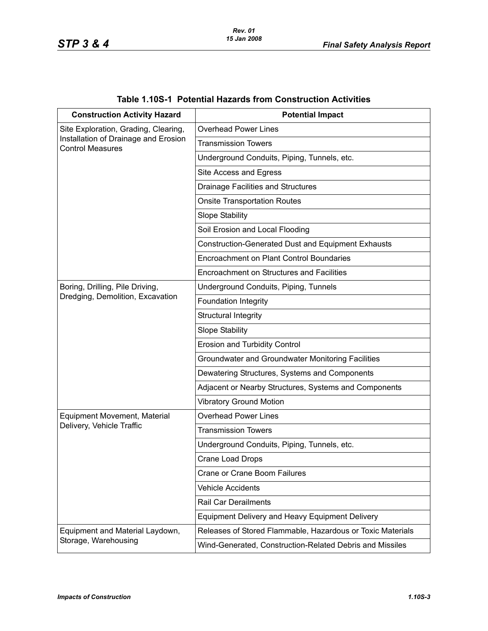<span id="page-2-0"></span>

| <b>Construction Activity Hazard</b>                                                                     | <b>Potential Impact</b>                                    |
|---------------------------------------------------------------------------------------------------------|------------------------------------------------------------|
| Site Exploration, Grading, Clearing,<br>Installation of Drainage and Erosion<br><b>Control Measures</b> | <b>Overhead Power Lines</b>                                |
|                                                                                                         | <b>Transmission Towers</b>                                 |
|                                                                                                         | Underground Conduits, Piping, Tunnels, etc.                |
|                                                                                                         | Site Access and Egress                                     |
|                                                                                                         | <b>Drainage Facilities and Structures</b>                  |
|                                                                                                         | <b>Onsite Transportation Routes</b>                        |
|                                                                                                         | <b>Slope Stability</b>                                     |
|                                                                                                         | Soil Erosion and Local Flooding                            |
|                                                                                                         | <b>Construction-Generated Dust and Equipment Exhausts</b>  |
|                                                                                                         | Encroachment on Plant Control Boundaries                   |
|                                                                                                         | Encroachment on Structures and Facilities                  |
| Boring, Drilling, Pile Driving,<br>Dredging, Demolition, Excavation                                     | Underground Conduits, Piping, Tunnels                      |
|                                                                                                         | Foundation Integrity                                       |
|                                                                                                         | Structural Integrity                                       |
|                                                                                                         | <b>Slope Stability</b>                                     |
|                                                                                                         | <b>Erosion and Turbidity Control</b>                       |
|                                                                                                         | Groundwater and Groundwater Monitoring Facilities          |
|                                                                                                         | Dewatering Structures, Systems and Components              |
|                                                                                                         | Adjacent or Nearby Structures, Systems and Components      |
|                                                                                                         | <b>Vibratory Ground Motion</b>                             |
| Equipment Movement, Material                                                                            | <b>Overhead Power Lines</b>                                |
| Delivery, Vehicle Traffic                                                                               | <b>Transmission Towers</b>                                 |
|                                                                                                         | Underground Conduits, Piping, Tunnels, etc.                |
|                                                                                                         | <b>Crane Load Drops</b>                                    |
|                                                                                                         | Crane or Crane Boom Failures                               |
|                                                                                                         | <b>Vehicle Accidents</b>                                   |
|                                                                                                         | <b>Rail Car Derailments</b>                                |
|                                                                                                         | <b>Equipment Delivery and Heavy Equipment Delivery</b>     |
| Equipment and Material Laydown,                                                                         | Releases of Stored Flammable, Hazardous or Toxic Materials |
| Storage, Warehousing                                                                                    | Wind-Generated, Construction-Related Debris and Missiles   |

# **Table 1.10S-1 Potential Hazards from Construction Activities**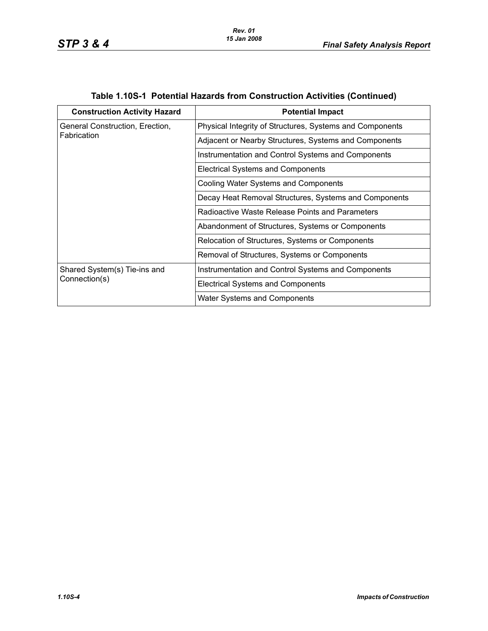| <b>Construction Activity Hazard</b>            | <b>Potential Impact</b>                                  |
|------------------------------------------------|----------------------------------------------------------|
| General Construction, Erection,<br>Fabrication | Physical Integrity of Structures, Systems and Components |
|                                                | Adjacent or Nearby Structures, Systems and Components    |
|                                                | Instrumentation and Control Systems and Components       |
|                                                | <b>Electrical Systems and Components</b>                 |
|                                                | Cooling Water Systems and Components                     |
|                                                | Decay Heat Removal Structures, Systems and Components    |
|                                                | Radioactive Waste Release Points and Parameters          |
|                                                | Abandonment of Structures, Systems or Components         |
|                                                | Relocation of Structures, Systems or Components          |
|                                                | Removal of Structures, Systems or Components             |
| Shared System(s) Tie-ins and<br>Connection(s)  | Instrumentation and Control Systems and Components       |
|                                                | <b>Electrical Systems and Components</b>                 |
|                                                | <b>Water Systems and Components</b>                      |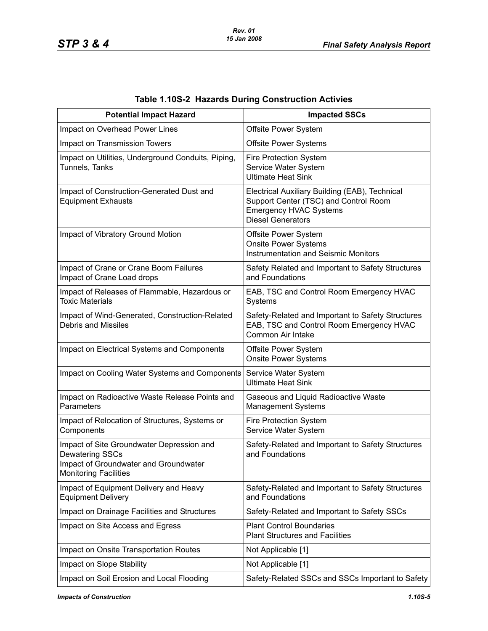<span id="page-4-0"></span>

| <b>Potential Impact Hazard</b>                                                                                                        | <b>Impacted SSCs</b>                                                                                                                                 |  |
|---------------------------------------------------------------------------------------------------------------------------------------|------------------------------------------------------------------------------------------------------------------------------------------------------|--|
| Impact on Overhead Power Lines                                                                                                        | Offsite Power System                                                                                                                                 |  |
| Impact on Transmission Towers                                                                                                         | <b>Offsite Power Systems</b>                                                                                                                         |  |
| Impact on Utilities, Underground Conduits, Piping,<br>Tunnels, Tanks                                                                  | <b>Fire Protection System</b><br>Service Water System<br><b>Ultimate Heat Sink</b>                                                                   |  |
| Impact of Construction-Generated Dust and<br><b>Equipment Exhausts</b>                                                                | Electrical Auxiliary Building (EAB), Technical<br>Support Center (TSC) and Control Room<br><b>Emergency HVAC Systems</b><br><b>Diesel Generators</b> |  |
| Impact of Vibratory Ground Motion                                                                                                     | Offsite Power System<br><b>Onsite Power Systems</b><br><b>Instrumentation and Seismic Monitors</b>                                                   |  |
| Impact of Crane or Crane Boom Failures<br>Impact of Crane Load drops                                                                  | Safety Related and Important to Safety Structures<br>and Foundations                                                                                 |  |
| Impact of Releases of Flammable, Hazardous or<br><b>Toxic Materials</b>                                                               | EAB, TSC and Control Room Emergency HVAC<br>Systems                                                                                                  |  |
| Impact of Wind-Generated, Construction-Related<br><b>Debris and Missiles</b>                                                          | Safety-Related and Important to Safety Structures<br>EAB, TSC and Control Room Emergency HVAC<br>Common Air Intake                                   |  |
| Impact on Electrical Systems and Components                                                                                           | Offsite Power System<br><b>Onsite Power Systems</b>                                                                                                  |  |
| Impact on Cooling Water Systems and Components                                                                                        | Service Water System<br><b>Ultimate Heat Sink</b>                                                                                                    |  |
| Impact on Radioactive Waste Release Points and<br>Parameters                                                                          | Gaseous and Liquid Radioactive Waste<br><b>Management Systems</b>                                                                                    |  |
| Impact of Relocation of Structures, Systems or<br>Components                                                                          | Fire Protection System<br>Service Water System                                                                                                       |  |
| Impact of Site Groundwater Depression and<br>Dewatering SSCs<br>Impact of Groundwater and Groundwater<br><b>Monitoring Facilities</b> | Safety-Related and Important to Safety Structures<br>and Foundations                                                                                 |  |
| Impact of Equipment Delivery and Heavy<br><b>Equipment Delivery</b>                                                                   | Safety-Related and Important to Safety Structures<br>and Foundations                                                                                 |  |
| Impact on Drainage Facilities and Structures                                                                                          | Safety-Related and Important to Safety SSCs                                                                                                          |  |
| Impact on Site Access and Egress                                                                                                      | <b>Plant Control Boundaries</b><br><b>Plant Structures and Facilities</b>                                                                            |  |
| Impact on Onsite Transportation Routes                                                                                                | Not Applicable [1]                                                                                                                                   |  |
| Impact on Slope Stability                                                                                                             | Not Applicable [1]                                                                                                                                   |  |
| Impact on Soil Erosion and Local Flooding                                                                                             | Safety-Related SSCs and SSCs Important to Safety                                                                                                     |  |

# **Table 1.10S-2 Hazards During Construction Activies**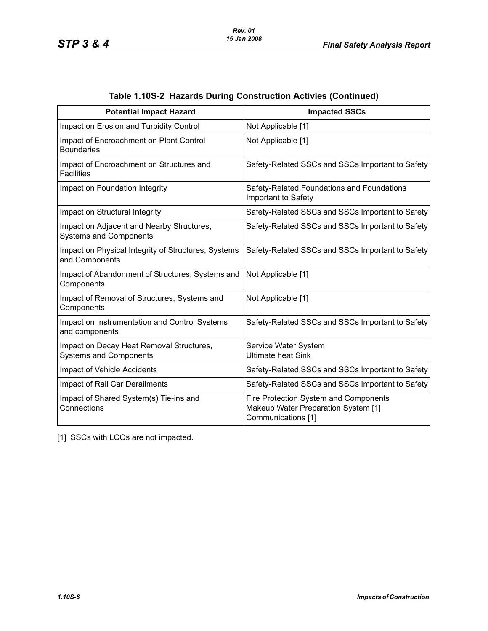| <b>Potential Impact Hazard</b>                                             | <b>Impacted SSCs</b>                                                                               |
|----------------------------------------------------------------------------|----------------------------------------------------------------------------------------------------|
| Impact on Erosion and Turbidity Control                                    | Not Applicable [1]                                                                                 |
| Impact of Encroachment on Plant Control<br><b>Boundaries</b>               | Not Applicable [1]                                                                                 |
| Impact of Encroachment on Structures and<br><b>Facilities</b>              | Safety-Related SSCs and SSCs Important to Safety                                                   |
| Impact on Foundation Integrity                                             | Safety-Related Foundations and Foundations<br>Important to Safety                                  |
| Impact on Structural Integrity                                             | Safety-Related SSCs and SSCs Important to Safety                                                   |
| Impact on Adjacent and Nearby Structures,<br><b>Systems and Components</b> | Safety-Related SSCs and SSCs Important to Safety                                                   |
| Impact on Physical Integrity of Structures, Systems<br>and Components      | Safety-Related SSCs and SSCs Important to Safety                                                   |
| Impact of Abandonment of Structures, Systems and<br>Components             | Not Applicable [1]                                                                                 |
| Impact of Removal of Structures, Systems and<br>Components                 | Not Applicable [1]                                                                                 |
| Impact on Instrumentation and Control Systems<br>and components            | Safety-Related SSCs and SSCs Important to Safety                                                   |
| Impact on Decay Heat Removal Structures,<br><b>Systems and Components</b>  | Service Water System<br><b>Ultimate heat Sink</b>                                                  |
| Impact of Vehicle Accidents                                                | Safety-Related SSCs and SSCs Important to Safety                                                   |
| Impact of Rail Car Derailments                                             | Safety-Related SSCs and SSCs Important to Safety                                                   |
| Impact of Shared System(s) Tie-ins and<br>Connections                      | Fire Protection System and Components<br>Makeup Water Preparation System [1]<br>Communications [1] |

| Table 1.10S-2 Hazards During Construction Activies (Continued) |  |  |  |
|----------------------------------------------------------------|--|--|--|
|                                                                |  |  |  |

[1] SSCs with LCOs are not impacted.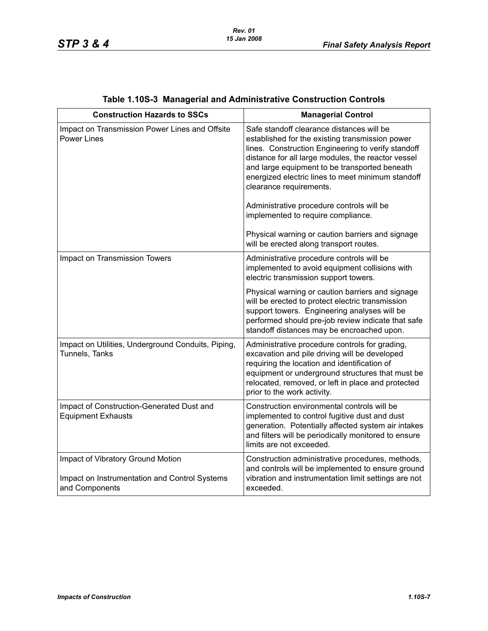<span id="page-6-0"></span>

| <b>Construction Hazards to SSCs</b>                                                                  | <b>Managerial Control</b>                                                                                                                                                                                                                                                                                                                                                                                                                                                                                                   |  |
|------------------------------------------------------------------------------------------------------|-----------------------------------------------------------------------------------------------------------------------------------------------------------------------------------------------------------------------------------------------------------------------------------------------------------------------------------------------------------------------------------------------------------------------------------------------------------------------------------------------------------------------------|--|
| Impact on Transmission Power Lines and Offsite<br><b>Power Lines</b>                                 | Safe standoff clearance distances will be<br>established for the existing transmission power<br>lines. Construction Engineering to verify standoff<br>distance for all large modules, the reactor vessel<br>and large equipment to be transported beneath<br>energized electric lines to meet minimum standoff<br>clearance requirements.<br>Administrative procedure controls will be<br>implemented to require compliance.<br>Physical warning or caution barriers and signage<br>will be erected along transport routes. |  |
| Impact on Transmission Towers                                                                        | Administrative procedure controls will be<br>implemented to avoid equipment collisions with<br>electric transmission support towers.                                                                                                                                                                                                                                                                                                                                                                                        |  |
|                                                                                                      | Physical warning or caution barriers and signage<br>will be erected to protect electric transmission<br>support towers. Engineering analyses will be<br>performed should pre-job review indicate that safe<br>standoff distances may be encroached upon.                                                                                                                                                                                                                                                                    |  |
| Impact on Utilities, Underground Conduits, Piping,<br>Tunnels, Tanks                                 | Administrative procedure controls for grading,<br>excavation and pile driving will be developed<br>requiring the location and identification of<br>equipment or underground structures that must be<br>relocated, removed, or left in place and protected<br>prior to the work activity.                                                                                                                                                                                                                                    |  |
| Impact of Construction-Generated Dust and<br><b>Equipment Exhausts</b>                               | Construction environmental controls will be<br>implemented to control fugitive dust and dust<br>generation. Potentially affected system air intakes<br>and filters will be periodically monitored to ensure<br>limits are not exceeded.                                                                                                                                                                                                                                                                                     |  |
| Impact of Vibratory Ground Motion<br>Impact on Instrumentation and Control Systems<br>and Components | Construction administrative procedures, methods,<br>and controls will be implemented to ensure ground<br>vibration and instrumentation limit settings are not<br>exceeded.                                                                                                                                                                                                                                                                                                                                                  |  |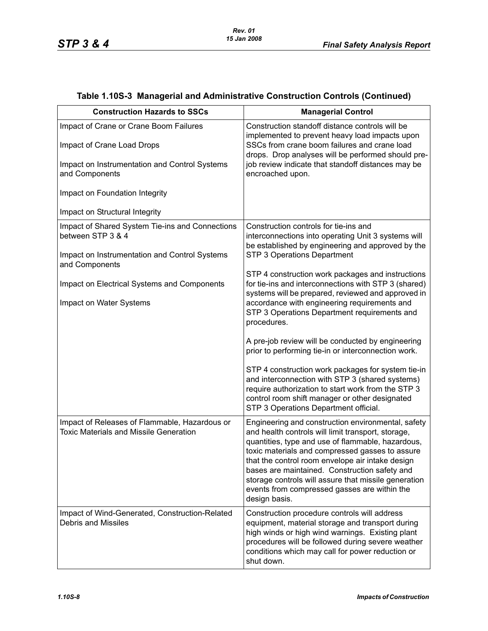| <b>Construction Hazards to SSCs</b>                                                            | <b>Managerial Control</b>                                                                                                                                                                                                                                                                                                                                                                                                                      |
|------------------------------------------------------------------------------------------------|------------------------------------------------------------------------------------------------------------------------------------------------------------------------------------------------------------------------------------------------------------------------------------------------------------------------------------------------------------------------------------------------------------------------------------------------|
| Impact of Crane or Crane Boom Failures<br>Impact of Crane Load Drops                           | Construction standoff distance controls will be<br>implemented to prevent heavy load impacts upon<br>SSCs from crane boom failures and crane load<br>drops. Drop analyses will be performed should pre-                                                                                                                                                                                                                                        |
| Impact on Instrumentation and Control Systems<br>and Components                                | job review indicate that standoff distances may be<br>encroached upon.                                                                                                                                                                                                                                                                                                                                                                         |
| Impact on Foundation Integrity                                                                 |                                                                                                                                                                                                                                                                                                                                                                                                                                                |
| Impact on Structural Integrity                                                                 |                                                                                                                                                                                                                                                                                                                                                                                                                                                |
| Impact of Shared System Tie-ins and Connections<br>between STP 3 & 4                           | Construction controls for tie-ins and<br>interconnections into operating Unit 3 systems will<br>be established by engineering and approved by the                                                                                                                                                                                                                                                                                              |
| Impact on Instrumentation and Control Systems<br>and Components                                | STP 3 Operations Department                                                                                                                                                                                                                                                                                                                                                                                                                    |
| Impact on Electrical Systems and Components                                                    | STP 4 construction work packages and instructions<br>for tie-ins and interconnections with STP 3 (shared)<br>systems will be prepared, reviewed and approved in                                                                                                                                                                                                                                                                                |
| Impact on Water Systems                                                                        | accordance with engineering requirements and<br>STP 3 Operations Department requirements and<br>procedures.                                                                                                                                                                                                                                                                                                                                    |
|                                                                                                | A pre-job review will be conducted by engineering<br>prior to performing tie-in or interconnection work.                                                                                                                                                                                                                                                                                                                                       |
|                                                                                                | STP 4 construction work packages for system tie-in<br>and interconnection with STP 3 (shared systems)<br>require authorization to start work from the STP 3<br>control room shift manager or other designated<br>STP 3 Operations Department official.                                                                                                                                                                                         |
| Impact of Releases of Flammable, Hazardous or<br><b>Toxic Materials and Missile Generation</b> | Engineering and construction environmental, safety<br>and health controls will limit transport, storage,<br>quantities, type and use of flammable, hazardous,<br>toxic materials and compressed gasses to assure<br>that the control room envelope air intake design<br>bases are maintained. Construction safety and<br>storage controls will assure that missile generation<br>events from compressed gasses are within the<br>design basis. |
| Impact of Wind-Generated, Construction-Related<br><b>Debris and Missiles</b>                   | Construction procedure controls will address<br>equipment, material storage and transport during<br>high winds or high wind warnings. Existing plant<br>procedures will be followed during severe weather<br>conditions which may call for power reduction or<br>shut down.                                                                                                                                                                    |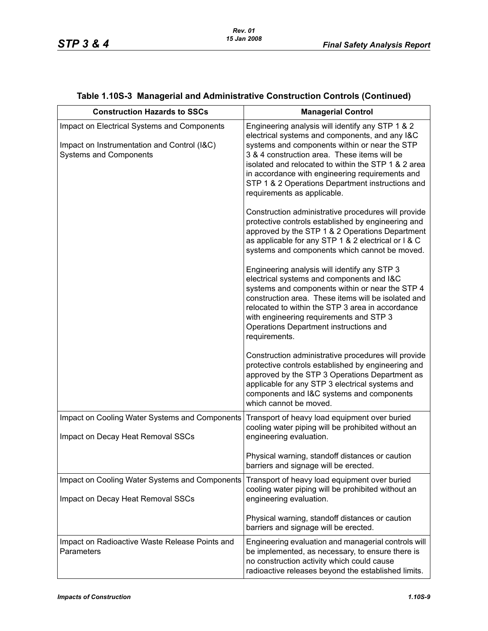| <b>Construction Hazards to SSCs</b>                                                                                         | <b>Managerial Control</b>                                                                                                                                                                                                                                                                                                                                                                        |  |
|-----------------------------------------------------------------------------------------------------------------------------|--------------------------------------------------------------------------------------------------------------------------------------------------------------------------------------------------------------------------------------------------------------------------------------------------------------------------------------------------------------------------------------------------|--|
| Impact on Electrical Systems and Components<br>Impact on Instrumentation and Control (I&C)<br><b>Systems and Components</b> | Engineering analysis will identify any STP 1 & 2<br>electrical systems and components, and any I&C<br>systems and components within or near the STP<br>3 & 4 construction area. These items will be<br>isolated and relocated to within the STP 1 & 2 area<br>in accordance with engineering requirements and<br>STP 1 & 2 Operations Department instructions and<br>requirements as applicable. |  |
|                                                                                                                             | Construction administrative procedures will provide<br>protective controls established by engineering and<br>approved by the STP 1 & 2 Operations Department<br>as applicable for any STP 1 & 2 electrical or I & C<br>systems and components which cannot be moved.                                                                                                                             |  |
|                                                                                                                             | Engineering analysis will identify any STP 3<br>electrical systems and components and I&C<br>systems and components within or near the STP 4<br>construction area. These items will be isolated and<br>relocated to within the STP 3 area in accordance<br>with engineering requirements and STP 3<br>Operations Department instructions and<br>requirements.                                    |  |
|                                                                                                                             | Construction administrative procedures will provide<br>protective controls established by engineering and<br>approved by the STP 3 Operations Department as<br>applicable for any STP 3 electrical systems and<br>components and I&C systems and components<br>which cannot be moved.                                                                                                            |  |
| Impact on Cooling Water Systems and Components<br>Impact on Decay Heat Removal SSCs                                         | Transport of heavy load equipment over buried<br>cooling water piping will be prohibited without an<br>engineering evaluation.                                                                                                                                                                                                                                                                   |  |
|                                                                                                                             | Physical warning, standoff distances or caution<br>barriers and signage will be erected.                                                                                                                                                                                                                                                                                                         |  |
| Impact on Cooling Water Systems and Components<br>Impact on Decay Heat Removal SSCs                                         | Transport of heavy load equipment over buried<br>cooling water piping will be prohibited without an<br>engineering evaluation.                                                                                                                                                                                                                                                                   |  |
|                                                                                                                             | Physical warning, standoff distances or caution<br>barriers and signage will be erected.                                                                                                                                                                                                                                                                                                         |  |
| Impact on Radioactive Waste Release Points and<br>Parameters                                                                | Engineering evaluation and managerial controls will<br>be implemented, as necessary, to ensure there is<br>no construction activity which could cause<br>radioactive releases beyond the established limits.                                                                                                                                                                                     |  |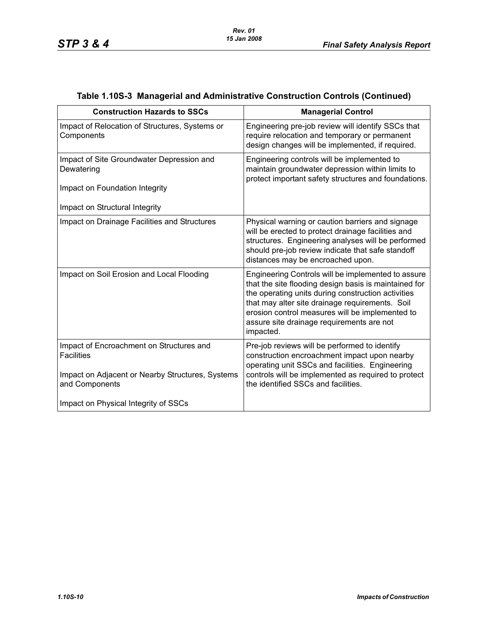| <b>Construction Hazards to SSCs</b>                                                                               | <b>Managerial Control</b>                                                                                                                                                                                                                                                                                                         |
|-------------------------------------------------------------------------------------------------------------------|-----------------------------------------------------------------------------------------------------------------------------------------------------------------------------------------------------------------------------------------------------------------------------------------------------------------------------------|
| Impact of Relocation of Structures, Systems or<br>Components                                                      | Engineering pre-job review will identify SSCs that<br>require relocation and temporary or permanent<br>design changes will be implemented, if required.                                                                                                                                                                           |
| Impact of Site Groundwater Depression and<br>Dewatering                                                           | Engineering controls will be implemented to<br>maintain groundwater depression within limits to<br>protect important safety structures and foundations.                                                                                                                                                                           |
| Impact on Foundation Integrity                                                                                    |                                                                                                                                                                                                                                                                                                                                   |
| Impact on Structural Integrity                                                                                    |                                                                                                                                                                                                                                                                                                                                   |
| Impact on Drainage Facilities and Structures                                                                      | Physical warning or caution barriers and signage<br>will be erected to protect drainage facilities and<br>structures. Engineering analyses will be performed<br>should pre-job review indicate that safe standoff<br>distances may be encroached upon.                                                                            |
| Impact on Soil Erosion and Local Flooding                                                                         | Engineering Controls will be implemented to assure<br>that the site flooding design basis is maintained for<br>the operating units during construction activities<br>that may alter site drainage requirements. Soil<br>erosion control measures will be implemented to<br>assure site drainage requirements are not<br>impacted. |
| Impact of Encroachment on Structures and<br><b>Facilities</b><br>Impact on Adjacent or Nearby Structures, Systems | Pre-job reviews will be performed to identify<br>construction encroachment impact upon nearby<br>operating unit SSCs and facilities. Engineering<br>controls will be implemented as required to protect                                                                                                                           |
| and Components                                                                                                    | the identified SSCs and facilities.                                                                                                                                                                                                                                                                                               |
| Impact on Physical Integrity of SSCs                                                                              |                                                                                                                                                                                                                                                                                                                                   |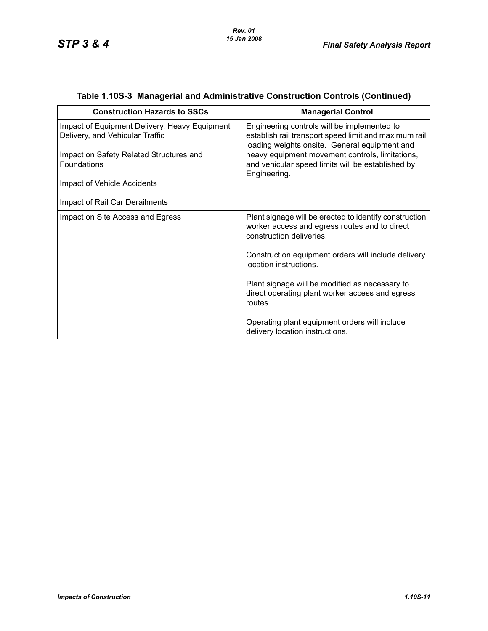| <b>Construction Hazards to SSCs</b>                                              | <b>Managerial Control</b>                                                                                                                             |
|----------------------------------------------------------------------------------|-------------------------------------------------------------------------------------------------------------------------------------------------------|
| Impact of Equipment Delivery, Heavy Equipment<br>Delivery, and Vehicular Traffic | Engineering controls will be implemented to<br>establish rail transport speed limit and maximum rail<br>loading weights onsite. General equipment and |
| Impact on Safety Related Structures and<br>Foundations                           | heavy equipment movement controls, limitations,<br>and vehicular speed limits will be established by<br>Engineering.                                  |
| Impact of Vehicle Accidents                                                      |                                                                                                                                                       |
| Impact of Rail Car Derailments                                                   |                                                                                                                                                       |
| Impact on Site Access and Egress                                                 | Plant signage will be erected to identify construction<br>worker access and egress routes and to direct<br>construction deliveries.                   |
|                                                                                  | Construction equipment orders will include delivery<br>location instructions.                                                                         |
|                                                                                  | Plant signage will be modified as necessary to<br>direct operating plant worker access and egress<br>routes.                                          |
|                                                                                  | Operating plant equipment orders will include<br>delivery location instructions.                                                                      |